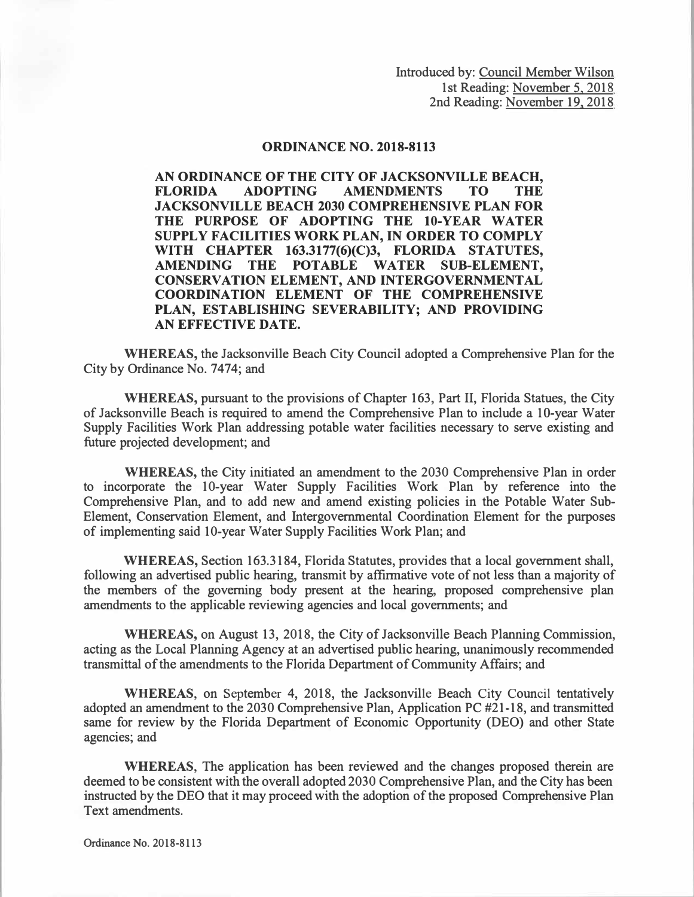Introduced by: Council Member Wilson 1st Reading: November 5, 2018 2nd Reading: November 19, 2018

## **ORDINANCE NO. 2018-8113**

**AN ORDINANCE OF THE CITY OF JACKSONVILLE BEACH, FLORIDA ADOPTING AMENDMENTS TO THE JACKSONVILLE BEACH 2030 COMPREHENSIVE PLAN FOR THE PURPOSE OF ADOPTING THE 10-YEAR WATER SUPPLY FACILITIES WORK PLAN, IN ORDER TO COMPLY WITH CHAPTER 163.3177(6)(C)3, FLORIDA STATUTES, AMENDING THE POTABLE WATER SUB-ELEMENT, CONSERVATION ELEMENT, AND INTERGOVERNMENTAL COORDINATION ELEMENT OF THE COMPREHENSIVE PLAN, ESTABLISHING SEVERABILITY; AND PROVIDING AN EFFECTIVE DATE.** 

**WHEREAS,** the Jacksonville Beach City Council adopted a Comprehensive Plan for the City by Ordinance No. 7474; and

**WHEREAS,** pursuant to the provisions of Chapter 163, Part II, Florida Statues, the City of Jacksonville Beach is required to amend the Comprehensive Plan to include a IO-year Water Supply Facilities Work Plan addressing potable water facilities necessary to serve existing and future projected development; and

**WHEREAS,** the City initiated an amendment to the 2030 Comprehensive Plan in order to incorporate the 10-year Water Supply Facilities Work Plan by reference into the Comprehensive Plan, and to add new and amend existing policies in the Potable Water Sub-Element, Conservation Element, and Intergovernmental Coordination Element for the purposes of implementing said 10-year Water Supply Facilities Work Plan; and

**WHEREAS,** Section 163.3184, Florida Statutes, provides that a local government shall, following an advertised public hearing, transmit by affirmative vote of not less than a majority of the members of the governing body present at the hearing, proposed comprehensive plan amendments to the applicable reviewing agencies and local governments; and

**WHEREAS,** on August 13, 2018, the City of Jacksonville Beach Planning Commission, acting as the Local Planning Agency at an advertised public hearing, unanimously recommended transmittal of the amendments to the Florida Department of Community Affairs; and

**WHEREAS,** on September 4, 2018, the Jacksonville Beach City Council tentatively adopted an amendment to the 2030 Comprehensive Plan, Application PC #21-18, and transmitted same for review by the Florida Department of Economic Opportunity (DEO) and other State agencies; and

**WHEREAS,** The application has been reviewed and the changes proposed therein are deemed to be consistent with the overall adopted 2030 Comprehensive Plan, and the City has been instructed by the DEO that it may proceed with the adoption of the proposed Comprehensive Plan Text amendments.